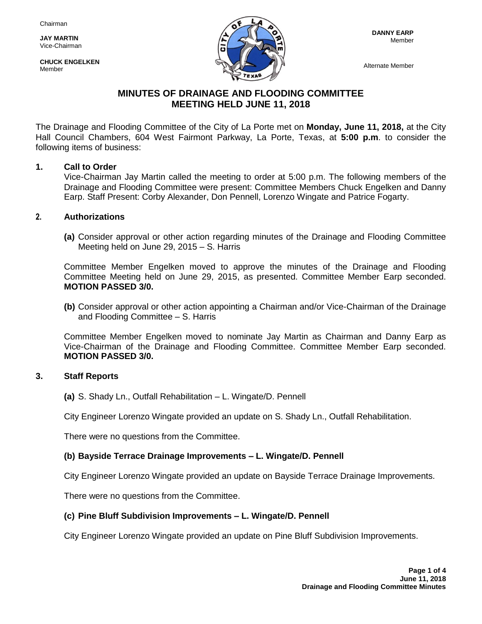**JAY MARTIN** Vice-Chairman

**CHUCK ENGELKEN** Member



Alternate Member

# **MINUTES OF DRAINAGE AND FLOODING COMMITTEE MEETING HELD JUNE 11, 2018**

The Drainage and Flooding Committee of the City of La Porte met on **Monday, June 11, 2018,** at the City Hall Council Chambers, 604 West Fairmont Parkway, La Porte, Texas, at **5:00 p.m**. to consider the following items of business:

### **1. Call to Order**

Vice-Chairman Jay Martin called the meeting to order at 5:00 p.m. The following members of the Drainage and Flooding Committee were present: Committee Members Chuck Engelken and Danny Earp. Staff Present: Corby Alexander, Don Pennell, Lorenzo Wingate and Patrice Fogarty.

### **2. Authorizations**

**(a)** Consider approval or other action regarding minutes of the Drainage and Flooding Committee Meeting held on June 29, 2015 – S. Harris

Committee Member Engelken moved to approve the minutes of the Drainage and Flooding Committee Meeting held on June 29, 2015, as presented. Committee Member Earp seconded. **MOTION PASSED 3/0.**

**(b)** Consider approval or other action appointing a Chairman and/or Vice-Chairman of the Drainage and Flooding Committee – S. Harris

Committee Member Engelken moved to nominate Jay Martin as Chairman and Danny Earp as Vice-Chairman of the Drainage and Flooding Committee. Committee Member Earp seconded. **MOTION PASSED 3/0.**

### **3. Staff Reports**

**(a)** S. Shady Ln., Outfall Rehabilitation – L. Wingate/D. Pennell

City Engineer Lorenzo Wingate provided an update on S. Shady Ln., Outfall Rehabilitation.

There were no questions from the Committee.

# **(b) Bayside Terrace Drainage Improvements – L. Wingate/D. Pennell**

City Engineer Lorenzo Wingate provided an update on Bayside Terrace Drainage Improvements.

There were no questions from the Committee.

### **(c) Pine Bluff Subdivision Improvements – L. Wingate/D. Pennell**

City Engineer Lorenzo Wingate provided an update on Pine Bluff Subdivision Improvements.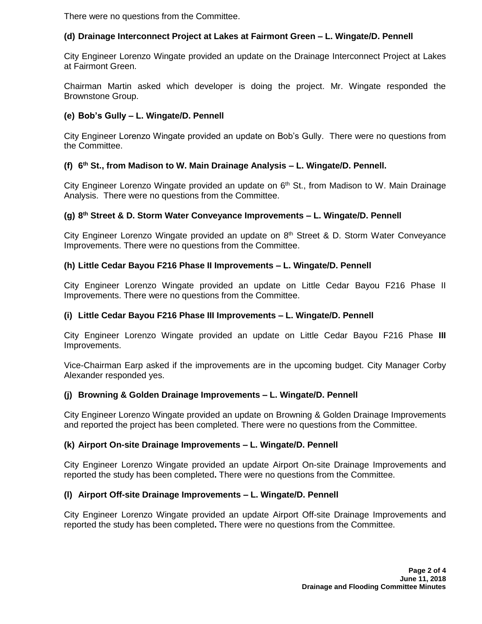There were no questions from the Committee.

# **(d) Drainage Interconnect Project at Lakes at Fairmont Green – L. Wingate/D. Pennell**

City Engineer Lorenzo Wingate provided an update on the Drainage Interconnect Project at Lakes at Fairmont Green.

Chairman Martin asked which developer is doing the project. Mr. Wingate responded the Brownstone Group.

## **(e) Bob's Gully – L. Wingate/D. Pennell**

City Engineer Lorenzo Wingate provided an update on Bob's Gully. There were no questions from the Committee.

# **(f) 6 th St., from Madison to W. Main Drainage Analysis – L. Wingate/D. Pennell.**

City Engineer Lorenzo Wingate provided an update on 6<sup>th</sup> St., from Madison to W. Main Drainage Analysis. There were no questions from the Committee.

### **(g) 8 th Street & D. Storm Water Conveyance Improvements – L. Wingate/D. Pennell**

City Engineer Lorenzo Wingate provided an update on 8<sup>th</sup> Street & D. Storm Water Conveyance Improvements. There were no questions from the Committee.

### **(h) Little Cedar Bayou F216 Phase II Improvements – L. Wingate/D. Pennell**

City Engineer Lorenzo Wingate provided an update on Little Cedar Bayou F216 Phase II Improvements. There were no questions from the Committee.

### **(i) Little Cedar Bayou F216 Phase III Improvements – L. Wingate/D. Pennell**

City Engineer Lorenzo Wingate provided an update on Little Cedar Bayou F216 Phase **III**  Improvements.

Vice-Chairman Earp asked if the improvements are in the upcoming budget. City Manager Corby Alexander responded yes.

### **(j) Browning & Golden Drainage Improvements – L. Wingate/D. Pennell**

City Engineer Lorenzo Wingate provided an update on Browning & Golden Drainage Improvements and reported the project has been completed. There were no questions from the Committee.

### **(k) Airport On-site Drainage Improvements – L. Wingate/D. Pennell**

City Engineer Lorenzo Wingate provided an update Airport On-site Drainage Improvements and reported the study has been completed**.** There were no questions from the Committee.

## **(l) Airport Off-site Drainage Improvements – L. Wingate/D. Pennell**

City Engineer Lorenzo Wingate provided an update Airport Off-site Drainage Improvements and reported the study has been completed**.** There were no questions from the Committee.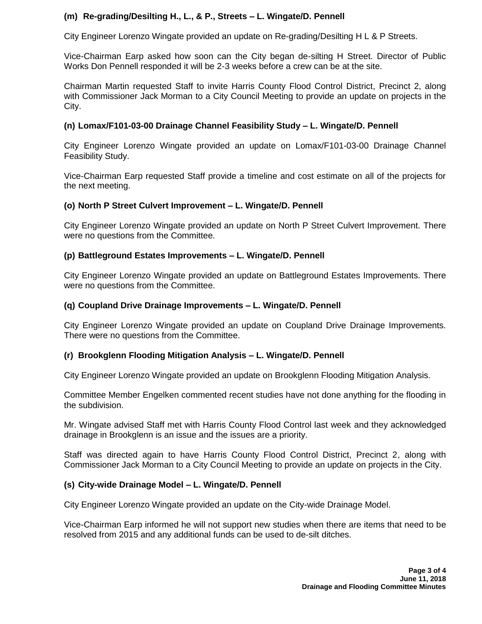# **(m) Re-grading/Desilting H., L., & P., Streets – L. Wingate/D. Pennell**

City Engineer Lorenzo Wingate provided an update on Re-grading/Desilting H L & P Streets.

Vice-Chairman Earp asked how soon can the City began de-silting H Street. Director of Public Works Don Pennell responded it will be 2-3 weeks before a crew can be at the site.

Chairman Martin requested Staff to invite Harris County Flood Control District, Precinct 2, along with Commissioner Jack Morman to a City Council Meeting to provide an update on projects in the City.

### **(n) Lomax/F101-03-00 Drainage Channel Feasibility Study – L. Wingate/D. Pennell**

City Engineer Lorenzo Wingate provided an update on Lomax/F101-03-00 Drainage Channel Feasibility Study.

Vice-Chairman Earp requested Staff provide a timeline and cost estimate on all of the projects for the next meeting.

### **(o) North P Street Culvert Improvement – L. Wingate/D. Pennell**

City Engineer Lorenzo Wingate provided an update on North P Street Culvert Improvement. There were no questions from the Committee.

### **(p) Battleground Estates Improvements – L. Wingate/D. Pennell**

City Engineer Lorenzo Wingate provided an update on Battleground Estates Improvements. There were no questions from the Committee.

#### **(q) Coupland Drive Drainage Improvements – L. Wingate/D. Pennell**

City Engineer Lorenzo Wingate provided an update on Coupland Drive Drainage Improvements. There were no questions from the Committee.

### **(r) Brookglenn Flooding Mitigation Analysis – L. Wingate/D. Pennell**

City Engineer Lorenzo Wingate provided an update on Brookglenn Flooding Mitigation Analysis.

Committee Member Engelken commented recent studies have not done anything for the flooding in the subdivision.

Mr. Wingate advised Staff met with Harris County Flood Control last week and they acknowledged drainage in Brookglenn is an issue and the issues are a priority.

Staff was directed again to have Harris County Flood Control District, Precinct 2, along with Commissioner Jack Morman to a City Council Meeting to provide an update on projects in the City.

### **(s) City-wide Drainage Model – L. Wingate/D. Pennell**

City Engineer Lorenzo Wingate provided an update on the City-wide Drainage Model.

Vice-Chairman Earp informed he will not support new studies when there are items that need to be resolved from 2015 and any additional funds can be used to de-silt ditches.